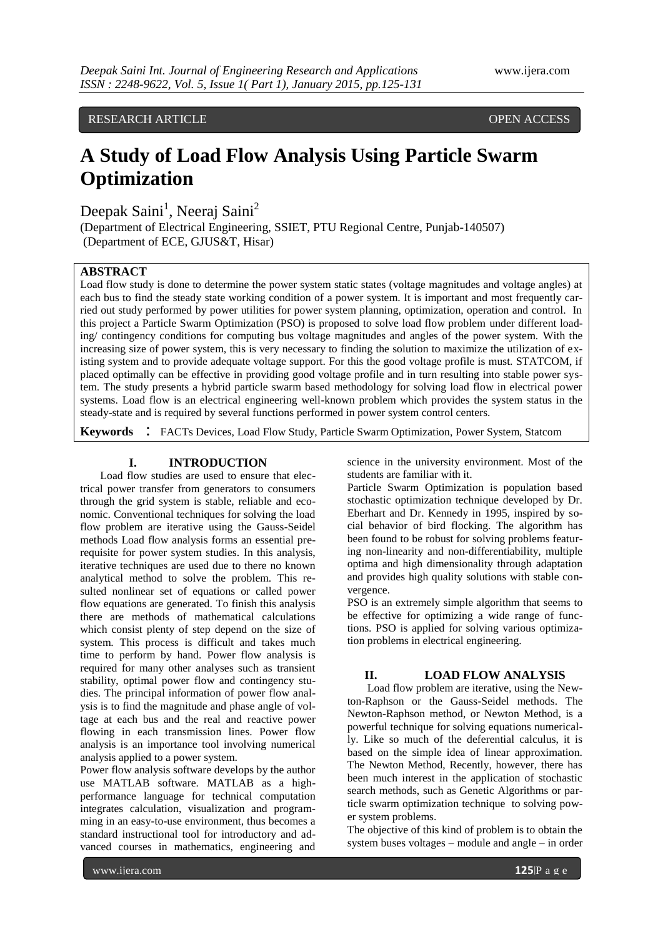RESEARCH ARTICLE **CONSERVERS** OPEN ACCESS

# **A Study of Load Flow Analysis Using Particle Swarm Optimization**

Deepak Saini<sup>1</sup>, Neeraj Saini<sup>2</sup>

(Department of Electrical Engineering, SSIET, PTU Regional Centre, Punjab-140507) (Department of ECE, GJUS&T, Hisar)

# **ABSTRACT**

Load flow study is done to determine the power system static states (voltage magnitudes and voltage angles) at each bus to find the steady state working condition of a power system. It is important and most frequently carried out study performed by power utilities for power system planning, optimization, operation and control. In this project a Particle Swarm Optimization (PSO) is proposed to solve load flow problem under different loading/ contingency conditions for computing bus voltage magnitudes and angles of the power system. With the increasing size of power system, this is very necessary to finding the solution to maximize the utilization of existing system and to provide adequate voltage support. For this the good voltage profile is must. STATCOM, if placed optimally can be effective in providing good voltage profile and in turn resulting into stable power system. The study presents a hybrid particle swarm based methodology for solving load flow in electrical power systems. Load flow is an electrical engineering well-known problem which provides the system status in the steady-state and is required by several functions performed in power system control centers.

**Keywords** : FACTs Devices, Load Flow Study, Particle Swarm Optimization, Power System, Statcom

## **I. INTRODUCTION**

Load flow studies are used to ensure that electrical power transfer from generators to consumers through the grid system is stable, reliable and economic. Conventional techniques for solving the load flow problem are iterative using the Gauss-Seidel methods Load flow analysis forms an essential prerequisite for power system studies. In this analysis, iterative techniques are used due to there no known analytical method to solve the problem. This resulted nonlinear set of equations or called power flow equations are generated. To finish this analysis there are methods of mathematical calculations which consist plenty of step depend on the size of system. This process is difficult and takes much time to perform by hand. Power flow analysis is required for many other analyses such as transient stability, optimal power flow and contingency studies. The principal information of power flow analysis is to find the magnitude and phase angle of voltage at each bus and the real and reactive power flowing in each transmission lines. Power flow analysis is an importance tool involving numerical analysis applied to a power system.

Power flow analysis software develops by the author use MATLAB software. MATLAB as a highperformance language for technical computation integrates calculation, visualization and programming in an easy-to-use environment, thus becomes a standard instructional tool for introductory and advanced courses in mathematics, engineering and science in the university environment. Most of the students are familiar with it.

Particle Swarm Optimization is population based stochastic optimization technique developed by Dr. Eberhart and Dr. Kennedy in 1995, inspired by social behavior of bird flocking. The algorithm has been found to be robust for solving problems featuring non-linearity and non-differentiability, multiple optima and high dimensionality through adaptation and provides high quality solutions with stable convergence.

PSO is an extremely simple algorithm that seems to be effective for optimizing a wide range of functions. PSO is applied for solving various optimization problems in electrical engineering.

## **II. LOAD FLOW ANALYSIS**

Load flow problem are iterative, using the Newton-Raphson or the Gauss-Seidel methods. The Newton-Raphson method, or Newton Method, is a powerful technique for solving equations numerically. Like so much of the deferential calculus, it is based on the simple idea of linear approximation. The Newton Method, Recently, however, there has been much interest in the application of stochastic search methods, such as Genetic Algorithms or particle swarm optimization technique to solving power system problems.

The objective of this kind of problem is to obtain the system buses voltages – module and angle – in order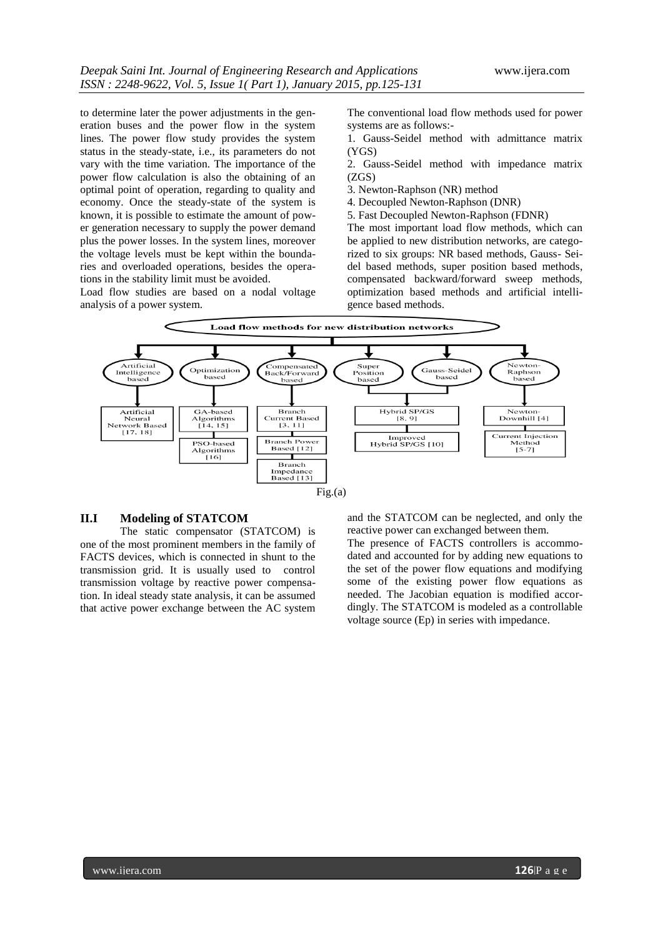to determine later the power adjustments in the generation buses and the power flow in the system lines. The power flow study provides the system status in the steady-state, i.e., its parameters do not vary with the time variation. The importance of the power flow calculation is also the obtaining of an optimal point of operation, regarding to quality and economy. Once the steady-state of the system is known, it is possible to estimate the amount of power generation necessary to supply the power demand plus the power losses. In the system lines, moreover the voltage levels must be kept within the boundaries and overloaded operations, besides the operations in the stability limit must be avoided.

Load flow studies are based on a nodal voltage analysis of a power system.

The conventional load flow methods used for power systems are as follows:-

1. Gauss-Seidel method with admittance matrix (YGS)

2. Gauss-Seidel method with impedance matrix (ZGS)

- 3. Newton-Raphson (NR) method
- 4. Decoupled Newton-Raphson (DNR)

5. Fast Decoupled Newton-Raphson (FDNR)

The most important load flow methods, which can be applied to new distribution networks, are categorized to six groups: NR based methods, Gauss- Seidel based methods, super position based methods, compensated backward/forward sweep methods, optimization based methods and artificial intelligence based methods.



## $Fig.(a)$

### **II.I Modeling of STATCOM**

The static compensator (STATCOM) is one of the most prominent members in the family of FACTS devices, which is connected in shunt to the transmission grid. It is usually used to control transmission voltage by reactive power compensation. In ideal steady state analysis, it can be assumed that active power exchange between the AC system and the STATCOM can be neglected, and only the reactive power can exchanged between them.

The presence of FACTS controllers is accommodated and accounted for by adding new equations to the set of the power flow equations and modifying some of the existing power flow equations as needed. The Jacobian equation is modified accordingly. The STATCOM is modeled as a controllable voltage source (Ep) in series with impedance.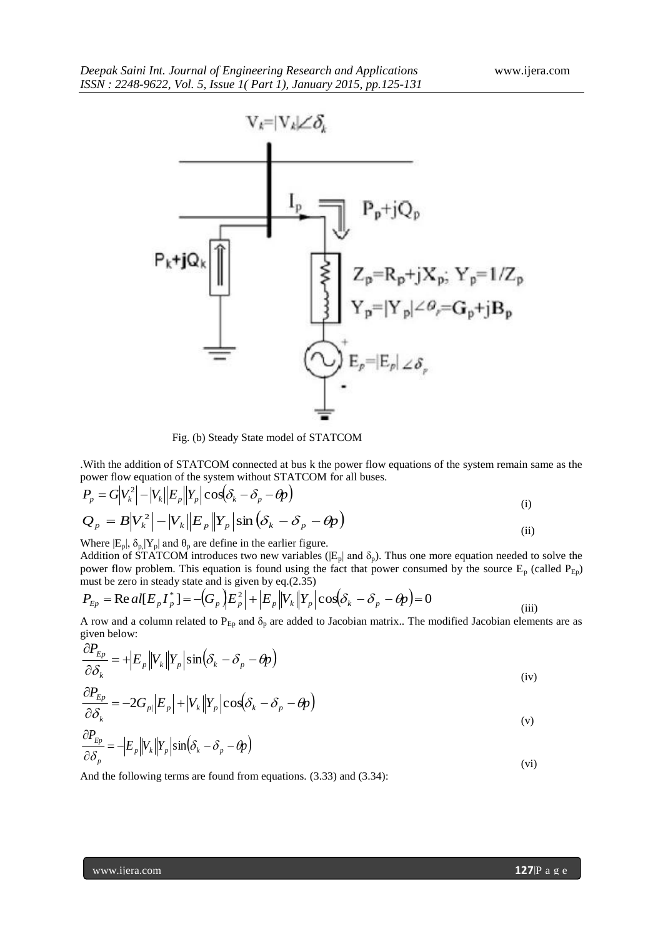

Fig. (b) Steady State model of STATCOM

.With the addition of STATCOM connected at bus k the power flow equations of the system remain same as the power flow equation of the system without STATCOM for all buses.

$$
P_p = G|V_k^2| - |V_k||E_p||Y_p|\cos(\delta_k - \delta_p - \theta_p)
$$
  
\n
$$
Q_p = B|V_k^2| - |V_k||E_p||Y_p|\sin(\delta_k - \delta_p - \theta_p)
$$
  
\n(ii) (i) (ii)

Where  $|E_p|$ ,  $\delta_p |Y_p|$  and  $\theta_p$  are define in the earlier figure.

Addition of STATCOM introduces two new variables ( $|E_p|$  and  $\delta_p$ ). Thus one more equation needed to solve the power flow problem. This equation is found using the fact that power consumed by the source  $E_p$  (called  $P_{Ep}$ ) must be zero in steady state and is given by eq.(2.35)

$$
P_{Ep} = \text{Re}\,al[E_p I_p^*] = -\left(G_p \left| E_p^2 \right| + \left| E_p \left| V_k \right| Y_p \right| \cos\left(\delta_k - \delta_p - \theta_p\right) = 0 \tag{iii}
$$

A row and a column related to  $P_{Ep}$  and  $\delta_p$  are added to Jacobian matrix.. The modified Jacobian elements are as given below:

$$
\frac{\partial P_{Ep}}{\partial \delta_k} = + \left| E_p \middle\| V_k \middle\| Y_p \middle\| \sin \left( \delta_k - \delta_p - \theta_p \right) \right|
$$
\n
$$
\frac{\partial P_{Ep}}{\partial S} = -2G_p \left| E_p \right| + \left| V_k \right| Y_p \left| \cos \left( \delta_k - \delta_p - \theta_p \right) \right|
$$
\n(iv)

$$
\frac{\partial \delta_k}{\partial P_{Ep}} \left| \begin{matrix} -\frac{1}{p} \left| \frac{\partial \phi}{\partial p} \right| & \frac{1}{p} \left| \frac{\partial \phi}{\partial p} \right| & \frac{\partial \phi}{\partial p} \end{matrix} \right| \right| \tag{v}
$$

$$
\frac{\partial F_{Ep}}{\partial \delta_p} = -\Big| E_p \Big| V_k \Big| Y_p \Big| \sin \Big( \delta_k - \delta_p - \theta \Big) \tag{vi}
$$

And the following terms are found from equations. (3.33) and (3.34):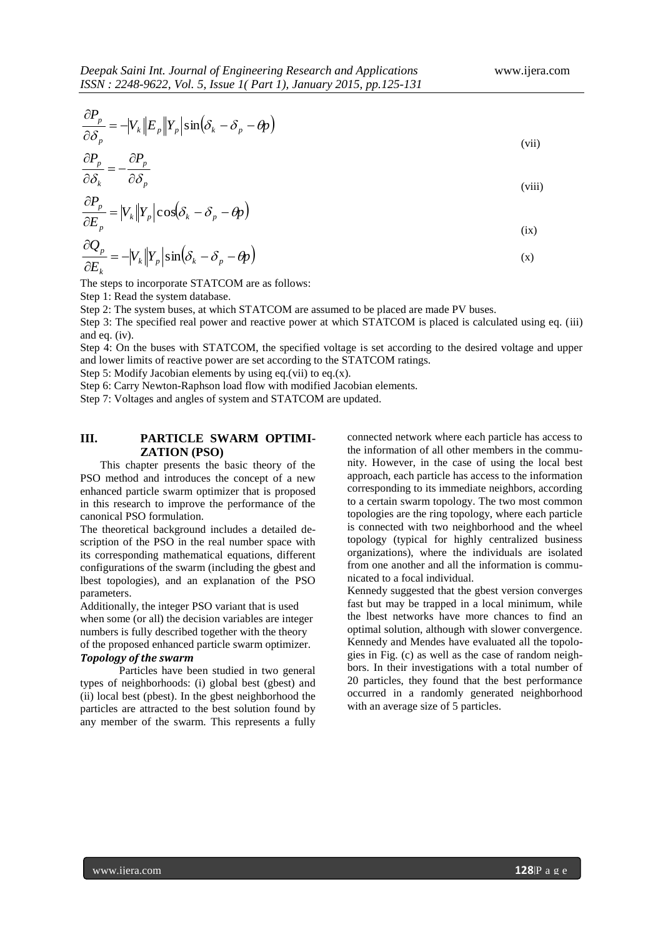$$
\frac{\partial P_p}{\partial \delta_p} = -|V_k||E_p||Y_p|\sin(\delta_k - \delta_p - \theta_p)
$$
\n(vii)

$$
\frac{\partial P_p}{\partial \delta_k} = -\frac{\partial P_p}{\partial \delta_p} \tag{viii}
$$

$$
\frac{\partial P_p}{\partial E_p} = |V_k||Y_p|\cos(\delta_k - \delta_p - \theta_p)
$$
\n(ix)

$$
\frac{\partial Q_p}{\partial E_k} = -|V_k||Y_p|\sin(\delta_k - \delta_p - \theta_p)
$$
\n(x)

The steps to incorporate STATCOM are as follows:

Step 1: Read the system database.

Step 2: The system buses, at which STATCOM are assumed to be placed are made PV buses.

Step 3: The specified real power and reactive power at which STATCOM is placed is calculated using eq. (iii) and eq. (iv).

Step 4: On the buses with STATCOM, the specified voltage is set according to the desired voltage and upper and lower limits of reactive power are set according to the STATCOM ratings.

Step 5: Modify Jacobian elements by using eq.(vii) to eq.(x).

Step 6: Carry Newton-Raphson load flow with modified Jacobian elements.

Step 7: Voltages and angles of system and STATCOM are updated.

# **III. PARTICLE SWARM OPTIMI-ZATION (PSO)**

This chapter presents the basic theory of the PSO method and introduces the concept of a new enhanced particle swarm optimizer that is proposed in this research to improve the performance of the canonical PSO formulation.

The theoretical background includes a detailed description of the PSO in the real number space with its corresponding mathematical equations, different configurations of the swarm (including the gbest and lbest topologies), and an explanation of the PSO parameters.

Additionally, the integer PSO variant that is used when some (or all) the decision variables are integer numbers is fully described together with the theory of the proposed enhanced particle swarm optimizer.

## *Topology of the swarm*

 Particles have been studied in two general types of neighborhoods: (i) global best (gbest) and (ii) local best (pbest). In the gbest neighborhood the particles are attracted to the best solution found by any member of the swarm. This represents a fully connected network where each particle has access to the information of all other members in the community. However, in the case of using the local best approach, each particle has access to the information corresponding to its immediate neighbors, according to a certain swarm topology. The two most common topologies are the ring topology, where each particle is connected with two neighborhood and the wheel topology (typical for highly centralized business organizations), where the individuals are isolated from one another and all the information is communicated to a focal individual.

Kennedy suggested that the gbest version converges fast but may be trapped in a local minimum, while the lbest networks have more chances to find an optimal solution, although with slower convergence. Kennedy and Mendes have evaluated all the topologies in Fig. (c) as well as the case of random neighbors. In their investigations with a total number of 20 particles, they found that the best performance occurred in a randomly generated neighborhood with an average size of 5 particles.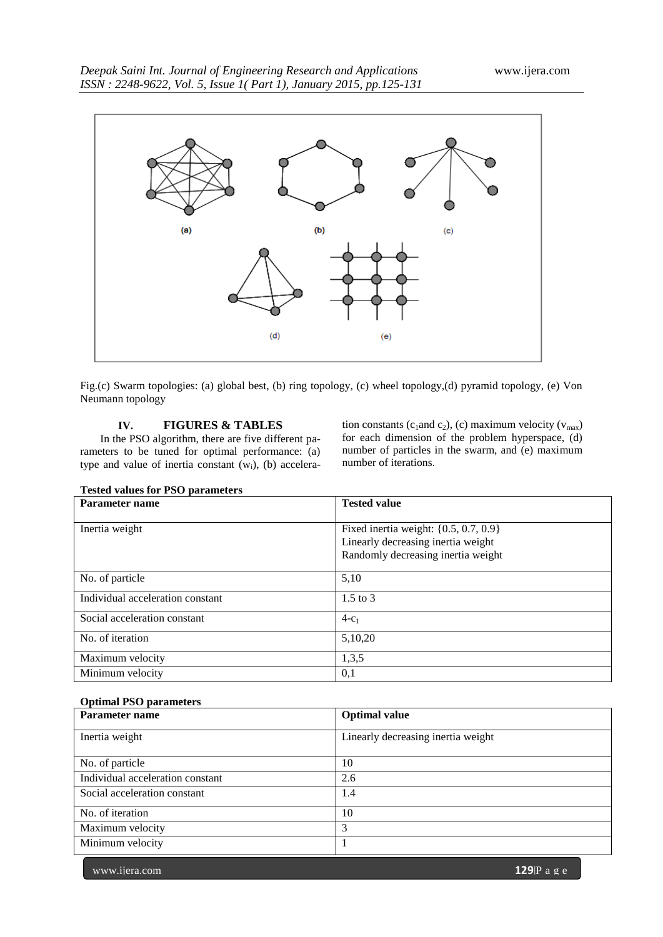

Fig.(c) Swarm topologies: (a) global best, (b) ring topology, (c) wheel topology,(d) pyramid topology, (e) Von Neumann topology

# **IV. FIGURES & TABLES**

In the PSO algorithm, there are five different parameters to be tuned for optimal performance: (a) type and value of inertia constant  $(w<sub>i</sub>)$ , (b) acceleration constants (c<sub>1</sub>and c<sub>2</sub>), (c) maximum velocity ( $v_{max}$ ) for each dimension of the problem hyperspace, (d) number of particles in the swarm, and (e) maximum number of iterations.

| Parameter name                   | <b>Tested value</b>                       |  |
|----------------------------------|-------------------------------------------|--|
|                                  |                                           |  |
| Inertia weight                   | Fixed inertia weight: $\{0.5, 0.7, 0.9\}$ |  |
|                                  | Linearly decreasing inertia weight        |  |
|                                  | Randomly decreasing inertia weight        |  |
| No. of particle                  | 5,10                                      |  |
| Individual acceleration constant | $1.5$ to 3                                |  |
| Social acceleration constant     | $4-c_1$                                   |  |
| No. of iteration                 | 5,10,20                                   |  |
| Maximum velocity                 | 1,3,5                                     |  |
| Minimum velocity                 | 0,1                                       |  |

# **Tested values for PSO parameters**

# **Optimal PSO parameters**

| Parameter name                   | <b>Optimal value</b>               |
|----------------------------------|------------------------------------|
| Inertia weight                   | Linearly decreasing inertia weight |
| No. of particle                  | 10                                 |
| Individual acceleration constant | 2.6                                |
| Social acceleration constant     | 1.4                                |
| No. of iteration                 | 10                                 |
| Maximum velocity                 | 3                                  |
| Minimum velocity                 |                                    |

www.ijera.com **129**|P a g e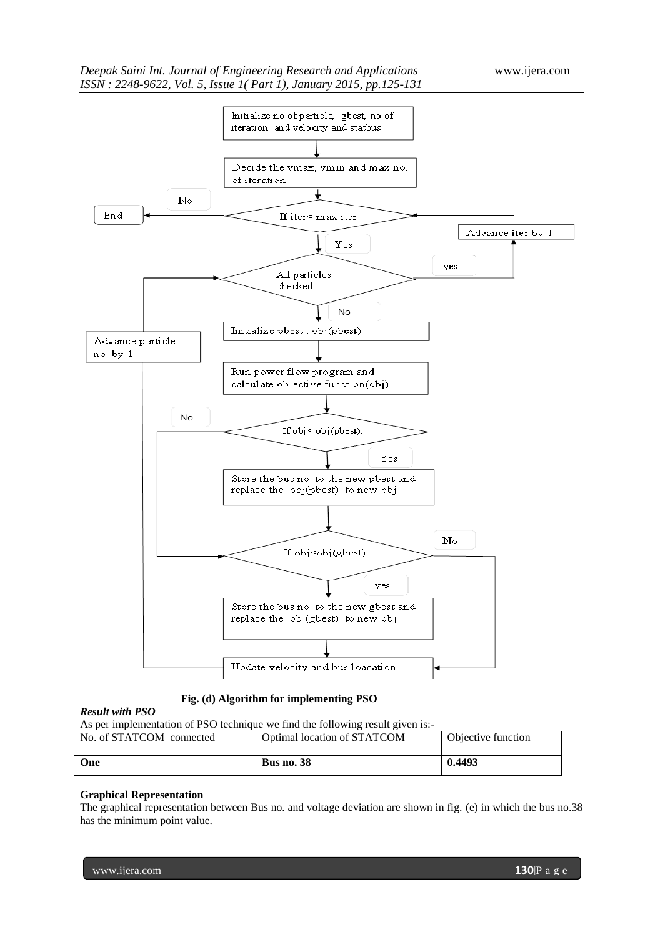

# **Fig. (d) Algorithm for implementing PSO**

## *Result with PSO*

As per implementation of PSO technique we find the following result given is:-

| No. of STATCOM connected | Optimal location of STATCOM | Objective function |
|--------------------------|-----------------------------|--------------------|
|                          |                             |                    |
|                          |                             |                    |
|                          |                             |                    |
| One                      | <b>Bus no. 38</b>           | 0.4493             |
|                          |                             |                    |
|                          |                             |                    |
|                          |                             |                    |

## **Graphical Representation**

The graphical representation between Bus no. and voltage deviation are shown in fig. (e) in which the bus no.38 has the minimum point value.